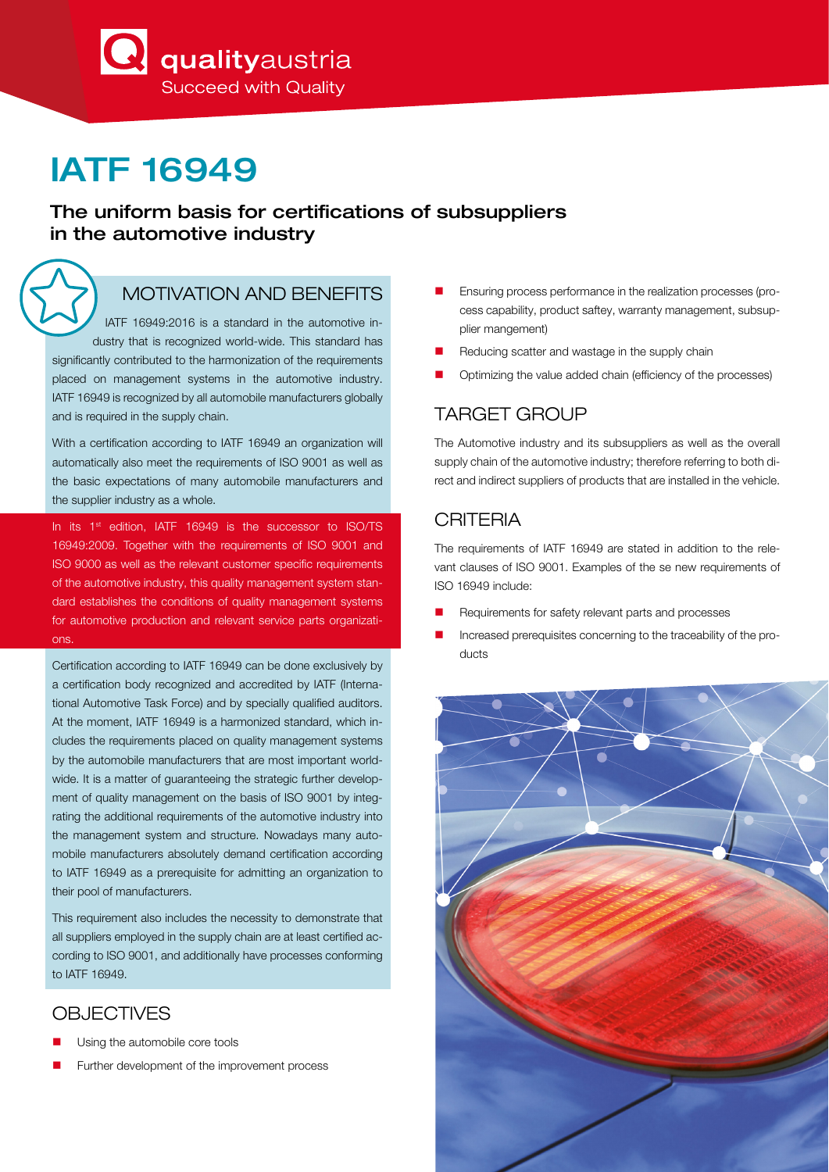**A** qualityaustria **Succeed with Quality** 

# IATF 16949

#### The uniform basis for certifications of subsuppliers in the automotive industry

# MOTIVATION AND BENEFITS

 IATF 16949:2016 is a standard in the automotive industry that is recognized world-wide. This standard has significantly contributed to the harmonization of the requirements placed on management systems in the automotive industry. IATF 16949 is recognized by all automobile manufacturers globally and is required in the supply chain.

With a certification according to IATF 16949 an organization will automatically also meet the requirements of ISO 9001 as well as the basic expectations of many automobile manufacturers and the supplier industry as a whole.

In its 1st edition, IATF 16949 is the successor to ISO/TS 16949:2009. Together with the requirements of ISO 9001 and ISO 9000 as well as the relevant customer specific requirements of the automotive industry, this quality management system standard establishes the conditions of quality management systems for automotive production and relevant service parts organizations.

Certification according to IATF 16949 can be done exclusively by a certification body recognized and accredited by IATF (International Automotive Task Force) and by specially qualified auditors. At the moment, IATF 16949 is a harmonized standard, which includes the requirements placed on quality management systems by the automobile manufacturers that are most important worldwide. It is a matter of guaranteeing the strategic further development of quality management on the basis of ISO 9001 by integrating the additional requirements of the automotive industry into the management system and structure. Nowadays many automobile manufacturers absolutely demand certification according to IATF 16949 as a prerequisite for admitting an organization to their pool of manufacturers.

This requirement also includes the necessity to demonstrate that all suppliers employed in the supply chain are at least certified according to ISO 9001, and additionally have processes conforming to IATF 16949.

#### **OBJECTIVES**

- Using the automobile core tools
- Further development of the improvement process
- Ensuring process performance in the realization processes (process capability, product saftey, warranty management, subsupplier mangement)
- Reducing scatter and wastage in the supply chain
- Optimizing the value added chain (efficiency of the processes)

# TARGET GROUP

The Automotive industry and its subsuppliers as well as the overall supply chain of the automotive industry; therefore referring to both direct and indirect suppliers of products that are installed in the vehicle.

### **CRITERIA**

The requirements of IATF 16949 are stated in addition to the relevant clauses of ISO 9001. Examples of the se new requirements of ISO 16949 include:

- Requirements for safety relevant parts and processes
- Increased prerequisites concerning to the traceability of the products